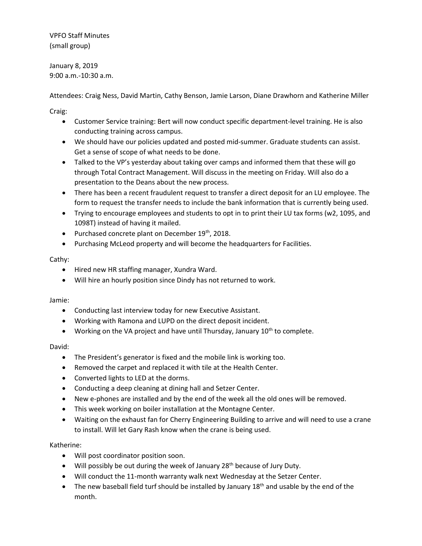VPFO Staff Minutes (small group)

January 8, 2019 9:00 a.m.-10:30 a.m.

Attendees: Craig Ness, David Martin, Cathy Benson, Jamie Larson, Diane Drawhorn and Katherine Miller

Craig:

- Customer Service training: Bert will now conduct specific department-level training. He is also conducting training across campus.
- We should have our policies updated and posted mid-summer. Graduate students can assist. Get a sense of scope of what needs to be done.
- Talked to the VP's yesterday about taking over camps and informed them that these will go through Total Contract Management. Will discuss in the meeting on Friday. Will also do a presentation to the Deans about the new process.
- There has been a recent fraudulent request to transfer a direct deposit for an LU employee. The form to request the transfer needs to include the bank information that is currently being used.
- Trying to encourage employees and students to opt in to print their LU tax forms (w2, 1095, and 1098T) instead of having it mailed.
- Purchased concrete plant on December 19<sup>th</sup>, 2018.
- Purchasing McLeod property and will become the headquarters for Facilities.

# Cathy:

- Hired new HR staffing manager, Xundra Ward.
- Will hire an hourly position since Dindy has not returned to work.

## Jamie:

- Conducting last interview today for new Executive Assistant.
- Working with Ramona and LUPD on the direct deposit incident.
- Working on the VA project and have until Thursday, January  $10^{th}$  to complete.

## David:

- The President's generator is fixed and the mobile link is working too.
- Removed the carpet and replaced it with tile at the Health Center.
- Converted lights to LED at the dorms.
- Conducting a deep cleaning at dining hall and Setzer Center.
- New e-phones are installed and by the end of the week all the old ones will be removed.
- This week working on boiler installation at the Montagne Center.
- Waiting on the exhaust fan for Cherry Engineering Building to arrive and will need to use a crane to install. Will let Gary Rash know when the crane is being used.

## Katherine:

- Will post coordinator position soon.
- . Will possibly be out during the week of January 28<sup>th</sup> because of Jury Duty.
- Will conduct the 11-month warranty walk next Wednesday at the Setzer Center.
- $\bullet$  The new baseball field turf should be installed by January 18<sup>th</sup> and usable by the end of the month.